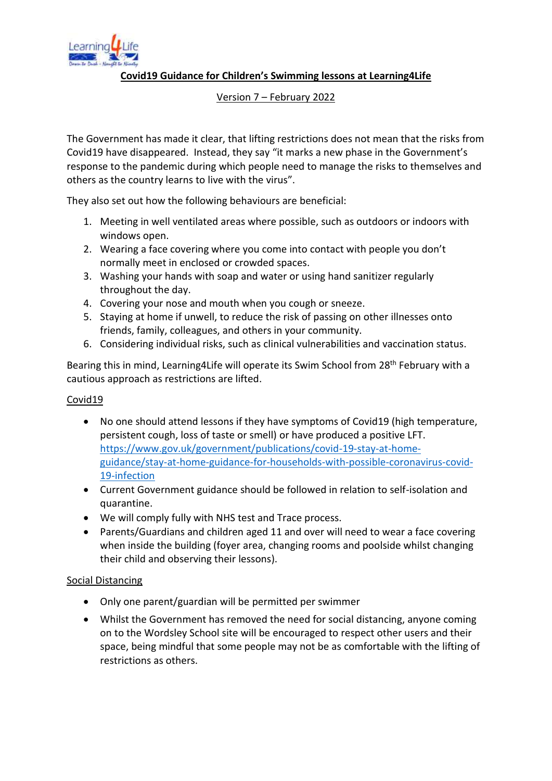

**Covid19 Guidance for Children's Swimming lessons at Learning4Life**

### Version 7 – February 2022

The Government has made it clear, that lifting restrictions does not mean that the risks from Covid19 have disappeared. Instead, they say "it marks a new phase in the Government's response to the pandemic during which people need to manage the risks to themselves and others as the country learns to live with the virus".

They also set out how the following behaviours are beneficial:

- 1. Meeting in well ventilated areas where possible, such as outdoors or indoors with windows open.
- 2. Wearing a face covering where you come into contact with people you don't normally meet in enclosed or crowded spaces.
- 3. Washing your hands with soap and water or using hand sanitizer regularly throughout the day.
- 4. Covering your nose and mouth when you cough or sneeze.
- 5. Staying at home if unwell, to reduce the risk of passing on other illnesses onto friends, family, colleagues, and others in your community.
- 6. Considering individual risks, such as clinical vulnerabilities and vaccination status.

Bearing this in mind, Learning4Life will operate its Swim School from 28<sup>th</sup> February with a cautious approach as restrictions are lifted.

# Covid19

- No one should attend lessons if they have symptoms of Covid19 (high temperature, persistent cough, loss of taste or smell) or have produced a positive LFT. [https://www.gov.uk/government/publications/covid-19-stay-at-home](https://www.gov.uk/government/publications/covid-19-stay-at-home-guidance/stay-at-home-guidance-for-households-with-possible-coronavirus-covid-19-infection)[guidance/stay-at-home-guidance-for-households-with-possible-coronavirus-covid-](https://www.gov.uk/government/publications/covid-19-stay-at-home-guidance/stay-at-home-guidance-for-households-with-possible-coronavirus-covid-19-infection)[19-infection](https://www.gov.uk/government/publications/covid-19-stay-at-home-guidance/stay-at-home-guidance-for-households-with-possible-coronavirus-covid-19-infection)
- Current Government guidance should be followed in relation to self-isolation and quarantine.
- We will comply fully with NHS test and Trace process.
- Parents/Guardians and children aged 11 and over will need to wear a face covering when inside the building (foyer area, changing rooms and poolside whilst changing their child and observing their lessons).

# Social Distancing

- Only one parent/guardian will be permitted per swimmer
- Whilst the Government has removed the need for social distancing, anyone coming on to the Wordsley School site will be encouraged to respect other users and their space, being mindful that some people may not be as comfortable with the lifting of restrictions as others.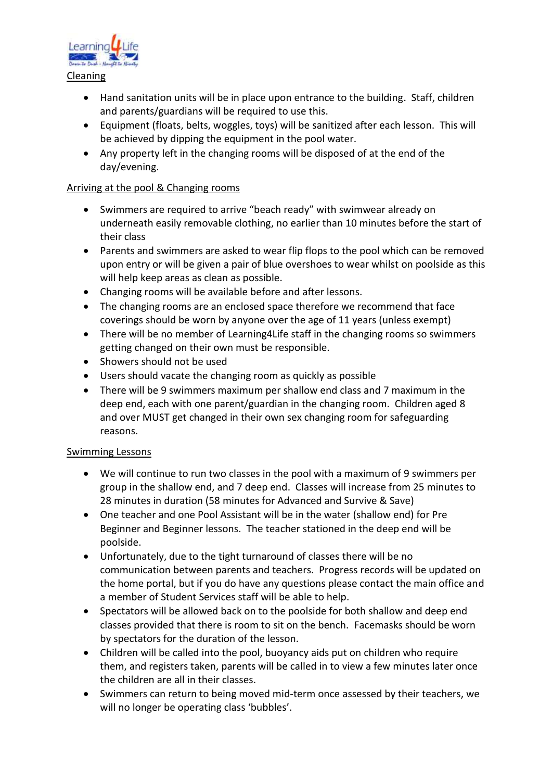

- Hand sanitation units will be in place upon entrance to the building. Staff, children and parents/guardians will be required to use this.
- Equipment (floats, belts, woggles, toys) will be sanitized after each lesson. This will be achieved by dipping the equipment in the pool water.
- Any property left in the changing rooms will be disposed of at the end of the day/evening.

### Arriving at the pool & Changing rooms

- Swimmers are required to arrive "beach ready" with swimwear already on underneath easily removable clothing, no earlier than 10 minutes before the start of their class
- Parents and swimmers are asked to wear flip flops to the pool which can be removed upon entry or will be given a pair of blue overshoes to wear whilst on poolside as this will help keep areas as clean as possible.
- Changing rooms will be available before and after lessons.
- The changing rooms are an enclosed space therefore we recommend that face coverings should be worn by anyone over the age of 11 years (unless exempt)
- There will be no member of Learning4Life staff in the changing rooms so swimmers getting changed on their own must be responsible.
- Showers should not be used
- Users should vacate the changing room as quickly as possible
- There will be 9 swimmers maximum per shallow end class and 7 maximum in the deep end, each with one parent/guardian in the changing room. Children aged 8 and over MUST get changed in their own sex changing room for safeguarding reasons.

#### Swimming Lessons

- We will continue to run two classes in the pool with a maximum of 9 swimmers per group in the shallow end, and 7 deep end. Classes will increase from 25 minutes to 28 minutes in duration (58 minutes for Advanced and Survive & Save)
- One teacher and one Pool Assistant will be in the water (shallow end) for Pre Beginner and Beginner lessons. The teacher stationed in the deep end will be poolside.
- Unfortunately, due to the tight turnaround of classes there will be no communication between parents and teachers. Progress records will be updated on the home portal, but if you do have any questions please contact the main office and a member of Student Services staff will be able to help.
- Spectators will be allowed back on to the poolside for both shallow and deep end classes provided that there is room to sit on the bench. Facemasks should be worn by spectators for the duration of the lesson.
- Children will be called into the pool, buoyancy aids put on children who require them, and registers taken, parents will be called in to view a few minutes later once the children are all in their classes.
- Swimmers can return to being moved mid-term once assessed by their teachers, we will no longer be operating class 'bubbles'.